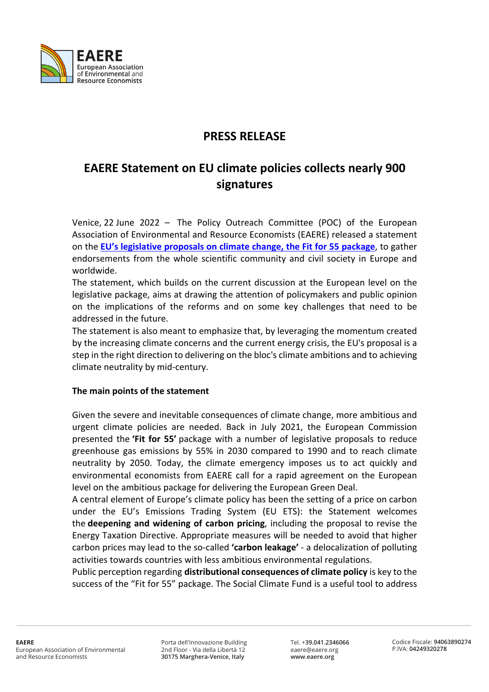

## **PRESS RELEASE**

# **EAERE Statement on EU climate policies collects nearly 900 signatures**

Venice, 22 June 2022 – The Policy Outreach Committee (POC) of the European Association of Environmental and Resource Economists (EAERE) released a statement on the **EU's legislative proposals on climate change, the Fit for 55 package**, to gather endorsements from the whole scientific community and civil society in Europe and worldwide.

The statement, which builds on the current discussion at the European level on the legislative package, aims at drawing the attention of policymakers and public opinion on the implications of the reforms and on some key challenges that need to be addressed in the future.

The statement is also meant to emphasize that, by leveraging the momentum created by the increasing climate concerns and the current energy crisis, the EU's proposal is a step in the right direction to delivering on the bloc's climate ambitions and to achieving climate neutrality by mid-century.

#### **The main points of the statement**

Given the severe and inevitable consequences of climate change, more ambitious and urgent climate policies are needed. Back in July 2021, the European Commission presented the **'Fit for 55'** package with a number of legislative proposals to reduce greenhouse gas emissions by 55% in 2030 compared to 1990 and to reach climate neutrality by 2050. Today, the climate emergency imposes us to act quickly and environmental economists from EAERE call for a rapid agreement on the European level on the ambitious package for delivering the European Green Deal.

A central element of Europe's climate policy has been the setting of a price on carbon under the EU's Emissions Trading System (EU ETS): the Statement welcomes the **deepening and widening of carbon pricing**, including the proposal to revise the Energy Taxation Directive. Appropriate measures will be needed to avoid that higher carbon prices may lead to the so-called **'carbon leakage'** - a delocalization of polluting activities towards countries with less ambitious environmental regulations.

Public perception regarding **distributional consequences of climate policy** is key to the success of the "Fit for 55" package. The Social Climate Fund is a useful tool to address